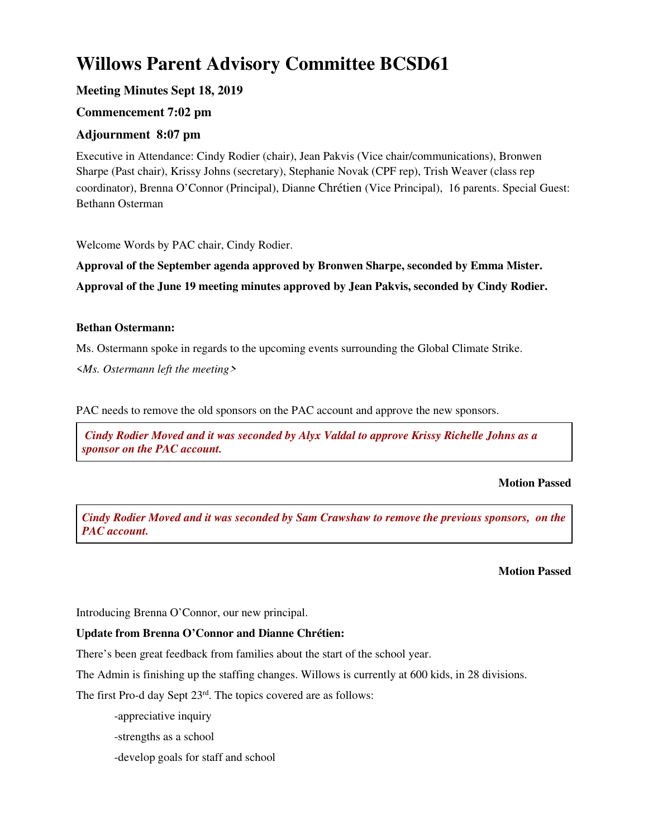# **Willows Parent Advisory Committee BCSD61**

# **Meeting Minutes Sept 18, 2019**

# **Commencement 7:02 pm**

# **Adjournment 8:07 pm**

Executive in Attendance: Cindy Rodier (chair), Jean Pakvis (Vice chair/communications), Bronwen Sharpe (Past chair), Krissy Johns (secretary), Stephanie Novak (CPF rep), Trish Weaver (class rep coordinator), Brenna O'Connor (Principal), Dianne Chrétien (Vice Principal), 16 parents. Special Guest: Bethann Osterman

Welcome Words by PAC chair, Cindy Rodier.

**Approval of the September agenda approved by Bronwen Sharpe, seconded by Emma Mister. Approval of the June 19 meeting minutes approved by Jean Pakvis, seconded by Cindy Rodier.** 

## **Bethan Ostermann:**

Ms. Ostermann spoke in regards to the upcoming events surrounding the Global Climate Strike.

<*Ms. Ostermann left the meeting>* 

PAC needs to remove the old sponsors on the PAC account and approve the new sponsors.

 *Cindy Rodier Moved and it was seconded by Alyx Valdal to approve Krissy Richelle Johns as a sponsor on the PAC account.*

#### **Motion Passed**

*Cindy Rodier Moved and it was seconded by Sam Crawshaw to remove the previous sponsors, on the PAC account.*

#### **Motion Passed**

Introducing Brenna O'Connor, our new principal.

# **Update from Brenna O'Connor and Dianne Chrétien:**

There's been great feedback from families about the start of the school year.

The Admin is finishing up the staffing changes. Willows is currently at 600 kids, in 28 divisions.

The first Pro-d day Sept  $23<sup>rd</sup>$ . The topics covered are as follows:

-appreciative inquiry

-strengths as a school

-develop goals for staff and school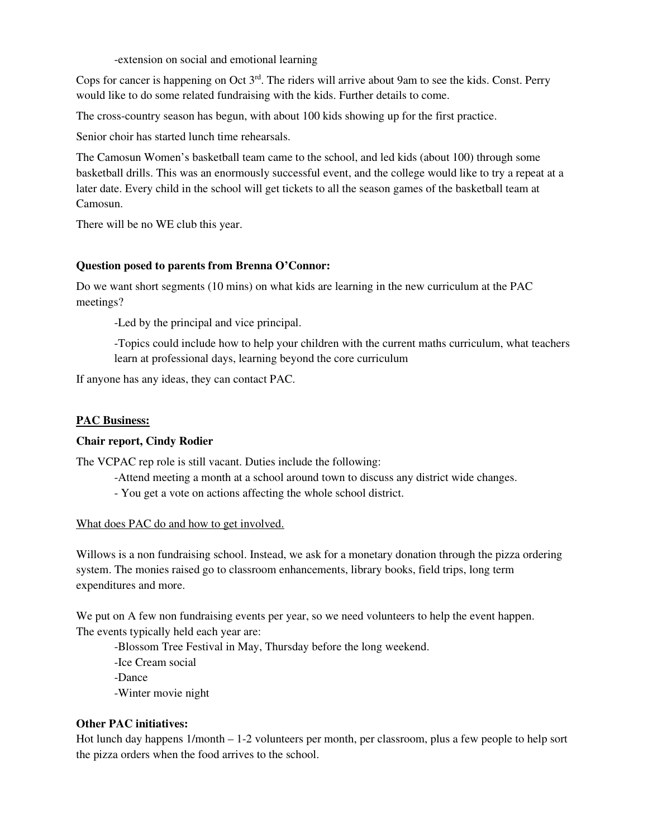-extension on social and emotional learning

Cops for cancer is happening on Oct  $3<sup>rd</sup>$ . The riders will arrive about 9am to see the kids. Const. Perry would like to do some related fundraising with the kids. Further details to come.

The cross-country season has begun, with about 100 kids showing up for the first practice.

Senior choir has started lunch time rehearsals.

The Camosun Women's basketball team came to the school, and led kids (about 100) through some basketball drills. This was an enormously successful event, and the college would like to try a repeat at a later date. Every child in the school will get tickets to all the season games of the basketball team at Camosun.

There will be no WE club this year.

## **Question posed to parents from Brenna O'Connor:**

Do we want short segments (10 mins) on what kids are learning in the new curriculum at the PAC meetings?

-Led by the principal and vice principal.

-Topics could include how to help your children with the current maths curriculum, what teachers learn at professional days, learning beyond the core curriculum

If anyone has any ideas, they can contact PAC.

#### **PAC Business:**

#### **Chair report, Cindy Rodier**

The VCPAC rep role is still vacant. Duties include the following:

- -Attend meeting a month at a school around town to discuss any district wide changes.
- You get a vote on actions affecting the whole school district.

#### What does PAC do and how to get involved.

Willows is a non fundraising school. Instead, we ask for a monetary donation through the pizza ordering system. The monies raised go to classroom enhancements, library books, field trips, long term expenditures and more.

We put on A few non fundraising events per year, so we need volunteers to help the event happen. The events typically held each year are:

- -Blossom Tree Festival in May, Thursday before the long weekend.
- -Ice Cream social
- -Dance
- -Winter movie night

#### **Other PAC initiatives:**

Hot lunch day happens 1/month – 1-2 volunteers per month, per classroom, plus a few people to help sort the pizza orders when the food arrives to the school.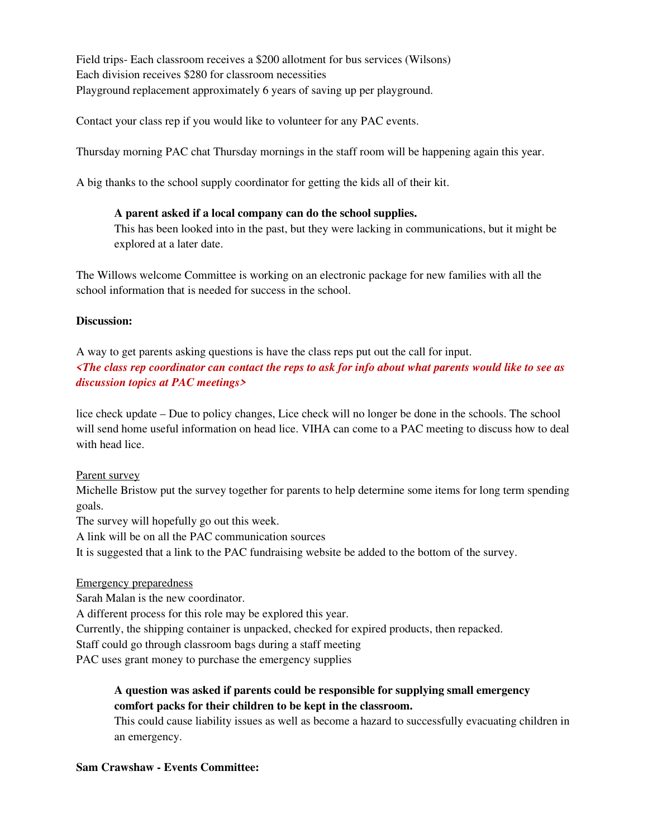Field trips- Each classroom receives a \$200 allotment for bus services (Wilsons) Each division receives \$280 for classroom necessities Playground replacement approximately 6 years of saving up per playground.

Contact your class rep if you would like to volunteer for any PAC events.

Thursday morning PAC chat Thursday mornings in the staff room will be happening again this year.

A big thanks to the school supply coordinator for getting the kids all of their kit.

## **A parent asked if a local company can do the school supplies.**

This has been looked into in the past, but they were lacking in communications, but it might be explored at a later date.

The Willows welcome Committee is working on an electronic package for new families with all the school information that is needed for success in the school.

## **Discussion:**

A way to get parents asking questions is have the class reps put out the call for input.

*<The class rep coordinator can contact the reps to ask for info about what parents would like to see as discussion topics at PAC meetings>* 

lice check update – Due to policy changes, Lice check will no longer be done in the schools. The school will send home useful information on head lice. VIHA can come to a PAC meeting to discuss how to deal with head lice.

#### Parent survey

Michelle Bristow put the survey together for parents to help determine some items for long term spending goals.

The survey will hopefully go out this week.

A link will be on all the PAC communication sources

It is suggested that a link to the PAC fundraising website be added to the bottom of the survey.

#### Emergency preparedness

Sarah Malan is the new coordinator.

A different process for this role may be explored this year.

Currently, the shipping container is unpacked, checked for expired products, then repacked.

Staff could go through classroom bags during a staff meeting

PAC uses grant money to purchase the emergency supplies

# **A question was asked if parents could be responsible for supplying small emergency comfort packs for their children to be kept in the classroom.**

This could cause liability issues as well as become a hazard to successfully evacuating children in an emergency.

# **Sam Crawshaw - Events Committee:**